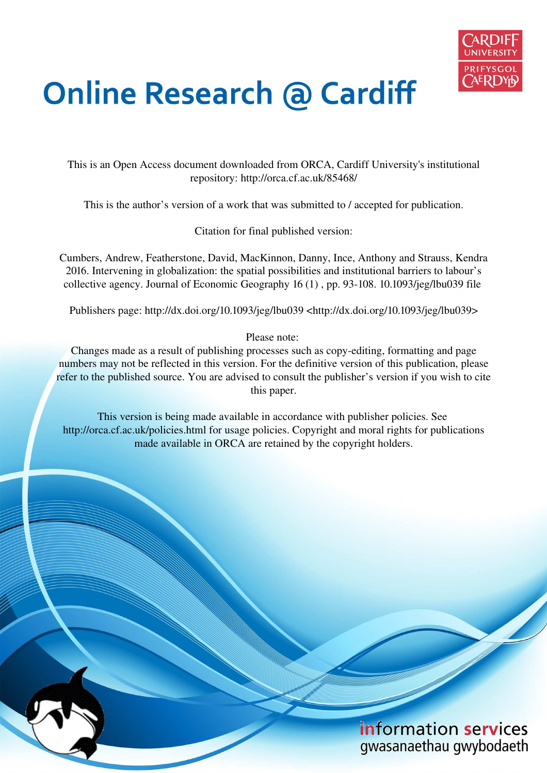

# **Online Research @ Cardiff**

This is an Open Access document downloaded from ORCA, Cardiff University's institutional repository: http://orca.cf.ac.uk/85468/

This is the author's version of a work that was submitted to / accepted for publication.

Citation for final published version:

Cumbers, Andrew, Featherstone, David, MacKinnon, Danny, Ince, Anthony and Strauss, Kendra 2016. Intervening in globalization: the spatial possibilities and institutional barriers to labour's collective agency. Journal of Economic Geography 16 (1) , pp. 93-108. 10.1093/jeg/lbu039 file

Publishers page: http://dx.doi.org/10.1093/jeg/lbu039 <http://dx.doi.org/10.1093/jeg/lbu039>

Please note:

Changes made as a result of publishing processes such as copy-editing, formatting and page numbers may not be reflected in this version. For the definitive version of this publication, please refer to the published source. You are advised to consult the publisher's version if you wish to cite this paper.

This version is being made available in accordance with publisher policies. See http://orca.cf.ac.uk/policies.html for usage policies. Copyright and moral rights for publications made available in ORCA are retained by the copyright holders.

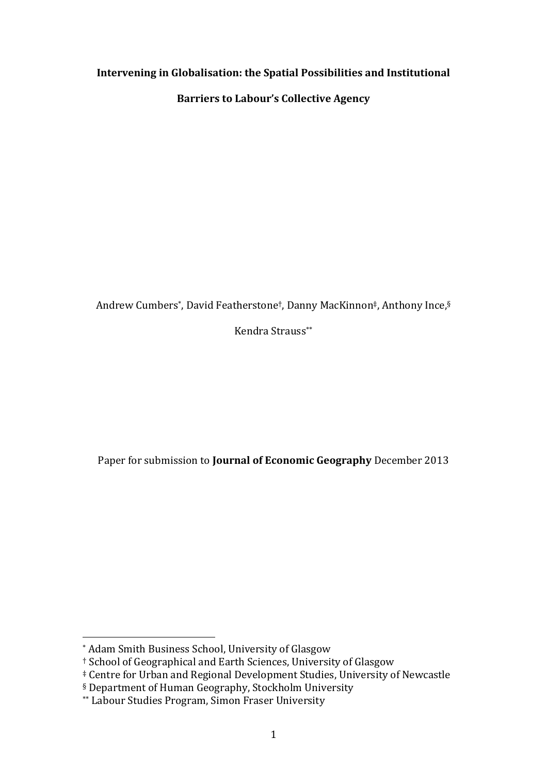## **Intervening in Globalisation: the Spatial Possibilities and Institutional**

**Barriers to Labour's Collective Agency** 

Andrew Cumbers\*, David Featherstone†, Danny MacKinnon‡, Anthony Ince,§

Kendra Strauss\*\*

Paper for submission to **Journal of Economic Geography** December 2013

 $\overline{a}$ \* Adam Smith Business School, University of Glasgow

<sup>&</sup>lt;sup>†</sup> School of Geographical and Earth Sciences, University of Glasgow

<sup>ș</sup> Centre for Urban and Regional Development Studies, University of Newcastle

<sup>§</sup> Department of Human Geography, Stockholm University

<sup>\*\*</sup> Labour Studies Program, Simon Fraser University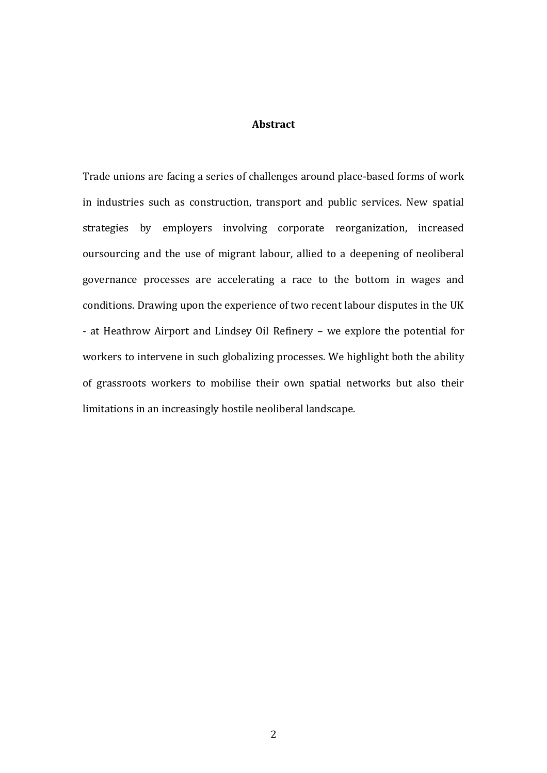#### **Abstract**

Trade unions are facing a series of challenges around place-based forms of work in industries such as construction, transport and public services. New spatial strategies by employers involving corporate reorganization, increased oursourcing and the use of migrant labour, allied to a deepening of neoliberal governance processes are accelerating a race to the bottom in wages and conditions. Drawing upon the experience of two recent labour disputes in the UK - at Heathrow Airport and Lindsey Oil Refinery – we explore the potential for workers to intervene in such globalizing processes. We highlight both the ability of grassroots workers to mobilise their own spatial networks but also their limitations in an increasingly hostile neoliberal landscape.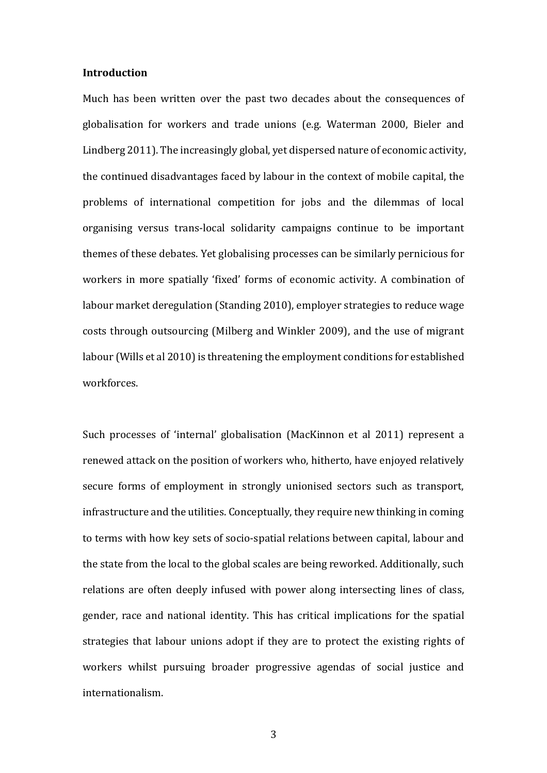#### **Introduction**

Much has been written over the past two decades about the consequences of globalisation for workers and trade unions (e.g. Waterman 2000, Bieler and Lindberg 2011). The increasingly global, yet dispersed nature of economic activity, the continued disadvantages faced by labour in the context of mobile capital, the problems of international competition for jobs and the dilemmas of local organising versus trans-local solidarity campaigns continue to be important themes of these debates. Yet globalising processes can be similarly pernicious for workers in more spatially 'fixed' forms of economic activity. A combination of labour market deregulation (Standing 2010), employer strategies to reduce wage costs through outsourcing (Milberg and Winkler 2009), and the use of migrant labour (Wills et al 2010) is threatening the employment conditions for established workforces.

Such processes of 'internal' globalisation (MacKinnon et al 2011) represent a renewed attack on the position of workers who, hitherto, have enjoyed relatively secure forms of employment in strongly unionised sectors such as transport, infrastructure and the utilities. Conceptually, they require new thinking in coming to terms with how key sets of socio-spatial relations between capital, labour and the state from the local to the global scales are being reworked. Additionally, such relations are often deeply infused with power along intersecting lines of class, gender, race and national identity. This has critical implications for the spatial strategies that labour unions adopt if they are to protect the existing rights of workers whilst pursuing broader progressive agendas of social justice and internationalism.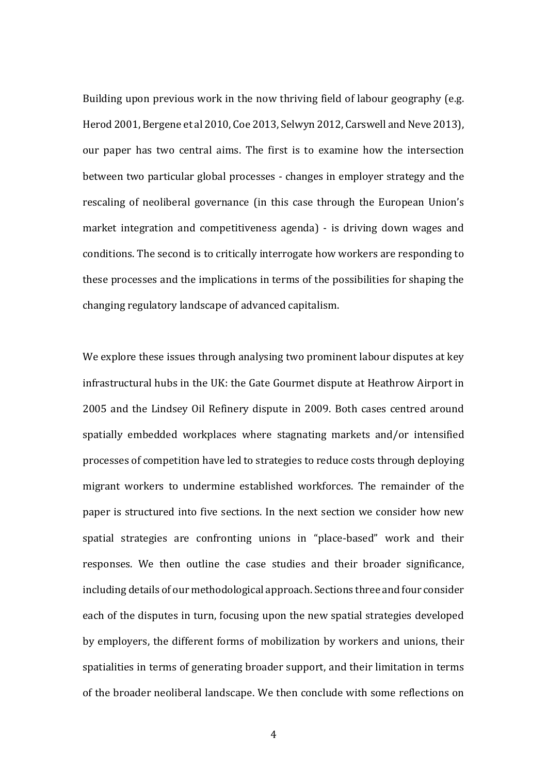Building upon previous work in the now thriving field of labour geography (e.g. Herod 2001, Bergene et al 2010, Coe 2013, Selwyn 2012, Carswell and Neve 2013), our paper has two central aims. The first is to examine how the intersection between two particular global processes - changes in employer strategy and the rescaling of neoliberal governance (in this case through the European Union's market integration and competitiveness agenda) - is driving down wages and conditions. The second is to critically interrogate how workers are responding to these processes and the implications in terms of the possibilities for shaping the changing regulatory landscape of advanced capitalism.

We explore these issues through analysing two prominent labour disputes at key infrastructural hubs in the UK: the Gate Gourmet dispute at Heathrow Airport in 2005 and the Lindsey Oil Refinery dispute in 2009. Both cases centred around spatially embedded workplaces where stagnating markets and/or intensified processes of competition have led to strategies to reduce costs through deploying migrant workers to undermine established workforces. The remainder of the paper is structured into five sections. In the next section we consider how new spatial strategies are confronting unions in "place-based" work and their responses. We then outline the case studies and their broader significance, including details of our methodological approach. Sections three and four consider each of the disputes in turn, focusing upon the new spatial strategies developed by employers, the different forms of mobilization by workers and unions, their spatialities in terms of generating broader support, and their limitation in terms of the broader neoliberal landscape. We then conclude with some reflections on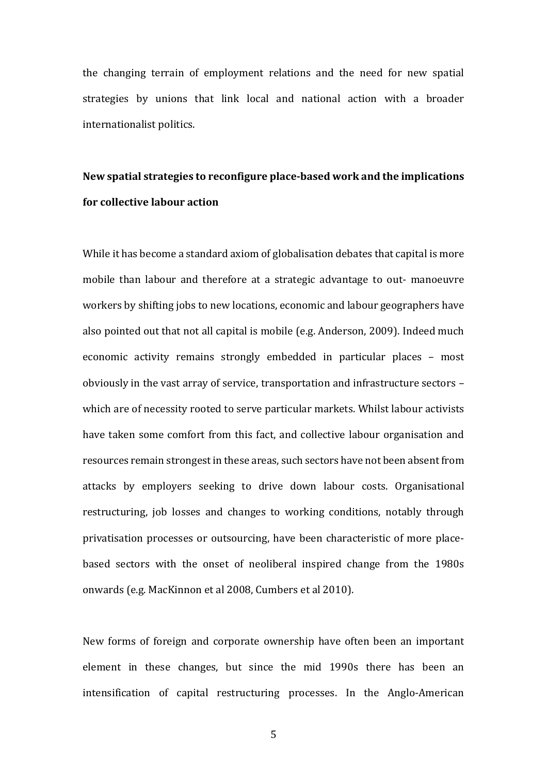the changing terrain of employment relations and the need for new spatial strategies by unions that link local and national action with a broader internationalist politics.

# **New spatial strategies to reconfigure place-based work and the implications for collective labour action**

While it has become a standard axiom of globalisation debates that capital is more mobile than labour and therefore at a strategic advantage to out- manoeuvre workers by shifting jobs to new locations, economic and labour geographers have also pointed out that not all capital is mobile (e.g. Anderson, 2009). Indeed much economic activity remains strongly embedded in particular places – most obviously in the vast array of service, transportation and infrastructure sectors – which are of necessity rooted to serve particular markets. Whilst labour activists have taken some comfort from this fact, and collective labour organisation and resources remain strongest in these areas, such sectors have not been absent from attacks by employers seeking to drive down labour costs. Organisational restructuring, job losses and changes to working conditions, notably through privatisation processes or outsourcing, have been characteristic of more placebased sectors with the onset of neoliberal inspired change from the 1980s onwards (e.g. MacKinnon et al 2008, Cumbers et al 2010).

New forms of foreign and corporate ownership have often been an important element in these changes, but since the mid 1990s there has been an intensification of capital restructuring processes. In the Anglo-American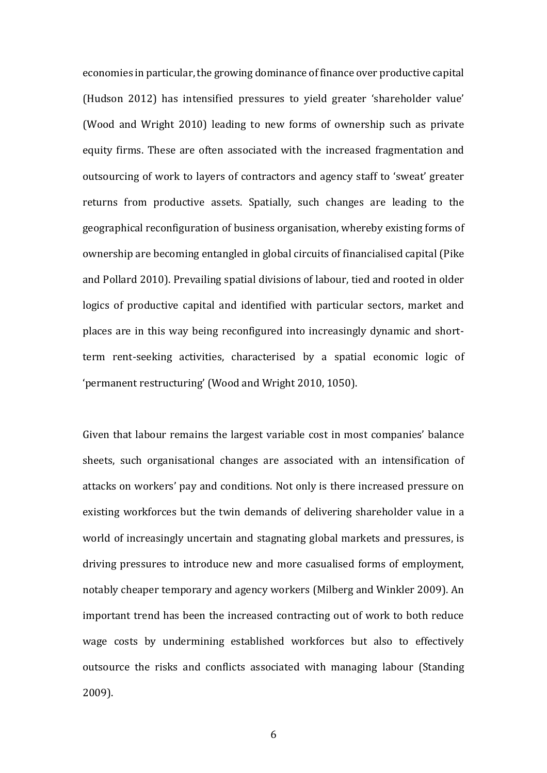economies in particular, the growing dominance of finance over productive capital (Hudson 2012) has intensified pressures to yield greater 'shareholder value' (Wood and Wright 2010) leading to new forms of ownership such as private equity firms. These are often associated with the increased fragmentation and outsourcing of work to layers of contractors and agency staff to 'sweat' greater returns from productive assets. Spatially, such changes are leading to the geographical reconfiguration of business organisation, whereby existing forms of ownership are becoming entangled in global circuits of financialised capital (Pike and Pollard 2010). Prevailing spatial divisions of labour, tied and rooted in older logics of productive capital and identified with particular sectors, market and places are in this way being reconfigured into increasingly dynamic and shortterm rent-seeking activities, characterised by a spatial economic logic of 'permanent restructuring' (Wood and Wright 2010, 1050).

Given that labour remains the largest variable cost in most companies' balance sheets, such organisational changes are associated with an intensification of attacks on workers' pay and conditions. Not only is there increased pressure on existing workforces but the twin demands of delivering shareholder value in a world of increasingly uncertain and stagnating global markets and pressures, is driving pressures to introduce new and more casualised forms of employment, notably cheaper temporary and agency workers (Milberg and Winkler 2009). An important trend has been the increased contracting out of work to both reduce wage costs by undermining established workforces but also to effectively outsource the risks and conflicts associated with managing labour (Standing 2009).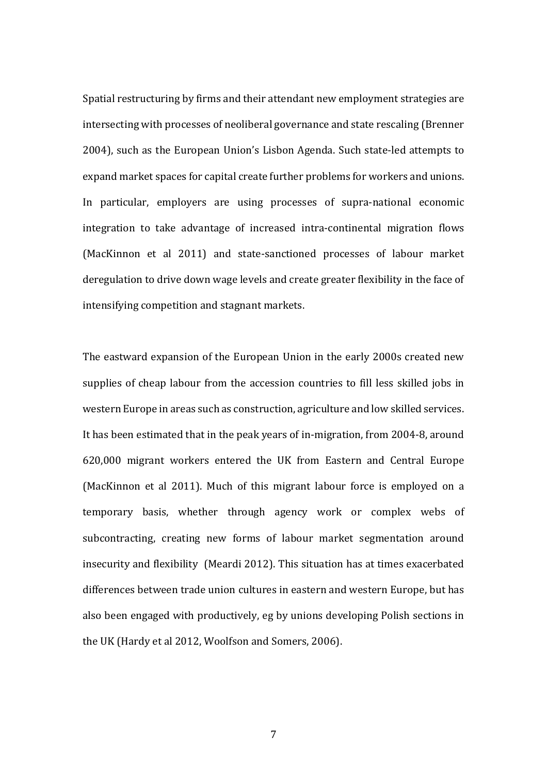Spatial restructuring by firms and their attendant new employment strategies are intersecting with processes of neoliberal governance and state rescaling (Brenner 2004), such as the European Union's Lisbon Agenda. Such state-led attempts to expand market spaces for capital create further problems for workers and unions. In particular, employers are using processes of supra-national economic integration to take advantage of increased intra-continental migration flows (MacKinnon et al 2011) and state-sanctioned processes of labour market deregulation to drive down wage levels and create greater flexibility in the face of intensifying competition and stagnant markets.

The eastward expansion of the European Union in the early 2000s created new supplies of cheap labour from the accession countries to fill less skilled jobs in western Europe in areas such as construction, agriculture and low skilled services. It has been estimated that in the peak years of in-migration, from 2004-8, around 620,000 migrant workers entered the UK from Eastern and Central Europe (MacKinnon et al 2011). Much of this migrant labour force is employed on a temporary basis, whether through agency work or complex webs of subcontracting, creating new forms of labour market segmentation around insecurity and flexibility (Meardi 2012). This situation has at times exacerbated differences between trade union cultures in eastern and western Europe, but has also been engaged with productively, eg by unions developing Polish sections in the UK (Hardy et al 2012, Woolfson and Somers, 2006).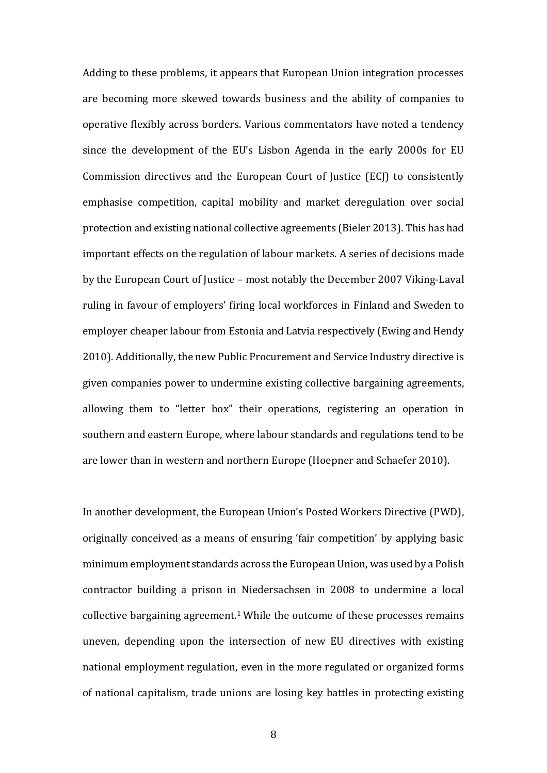Adding to these problems, it appears that European Union integration processes are becoming more skewed towards business and the ability of companies to operative flexibly across borders. Various commentators have noted a tendency since the development of the EU's Lisbon Agenda in the early 2000s for EU Commission directives and the European Court of Justice (ECJ) to consistently emphasise competition, capital mobility and market deregulation over social protection and existing national collective agreements (Bieler 2013). This has had important effects on the regulation of labour markets. A series of decisions made by the European Court of Justice – most notably the December 2007 Viking-Laval ruling in favour of employers' firing local workforces in Finland and Sweden to employer cheaper labour from Estonia and Latvia respectively (Ewing and Hendy 2010). Additionally, the new Public Procurement and Service Industry directive is given companies power to undermine existing collective bargaining agreements, allowing them to "letter box" their operations, registering an operation in southern and eastern Europe, where labour standards and regulations tend to be are lower than in western and northern Europe (Hoepner and Schaefer 2010).

In another development, the European Union's Posted Workers Directive (PWD), originally conceived as a means of ensuring 'fair competition' by applying basic minimum employment standards across the European Union, was used by a Polish contractor building a prison in Niedersachsen in 2008 to undermine a local collective bargaining agreement.<sup>1</sup> While the outcome of these processes remains uneven, depending upon the intersection of new EU directives with existing national employment regulation, even in the more regulated or organized forms of national capitalism, trade unions are losing key battles in protecting existing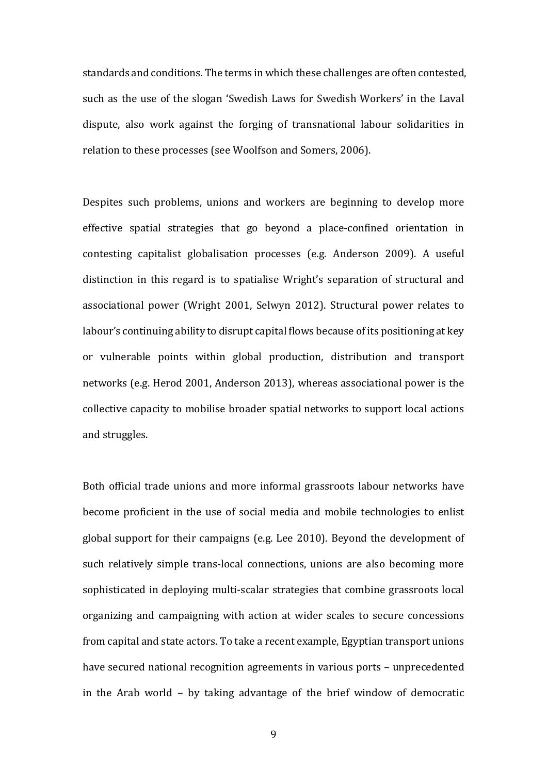standards and conditions. The terms in which these challenges are often contested, such as the use of the slogan 'Swedish Laws for Swedish Workers' in the Laval dispute, also work against the forging of transnational labour solidarities in relation to these processes (see Woolfson and Somers, 2006).

Despites such problems, unions and workers are beginning to develop more effective spatial strategies that go beyond a place-confined orientation in contesting capitalist globalisation processes (e.g. Anderson 2009). A useful distinction in this regard is to spatialise Wright's separation of structural and associational power (Wright 2001, Selwyn 2012). Structural power relates to labour's continuing ability to disrupt capital flows because of its positioning at key or vulnerable points within global production, distribution and transport networks (e.g. Herod 2001, Anderson 2013), whereas associational power is the collective capacity to mobilise broader spatial networks to support local actions and struggles.

Both official trade unions and more informal grassroots labour networks have become proficient in the use of social media and mobile technologies to enlist global support for their campaigns (e.g. Lee 2010). Beyond the development of such relatively simple trans-local connections, unions are also becoming more sophisticated in deploying multi-scalar strategies that combine grassroots local organizing and campaigning with action at wider scales to secure concessions from capital and state actors. To take a recent example, Egyptian transport unions have secured national recognition agreements in various ports – unprecedented in the Arab world – by taking advantage of the brief window of democratic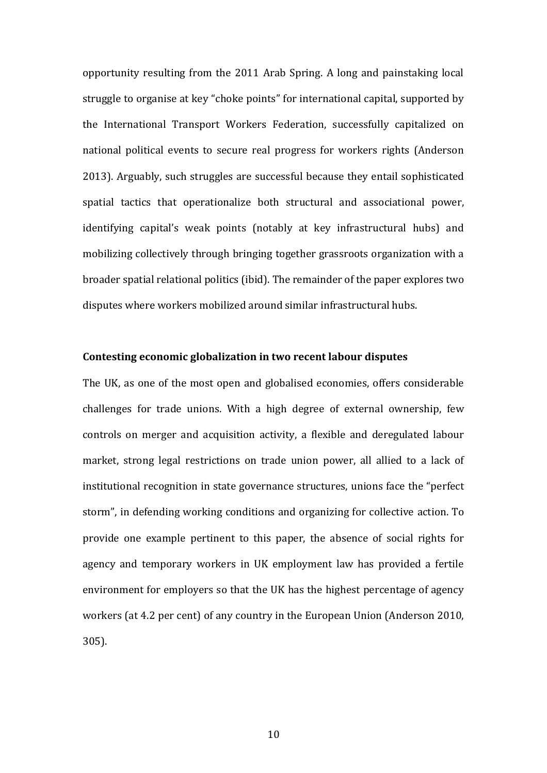opportunity resulting from the 2011 Arab Spring. A long and painstaking local struggle to organise at key "choke points" for international capital, supported by the International Transport Workers Federation, successfully capitalized on national political events to secure real progress for workers rights (Anderson 2013). Arguably, such struggles are successful because they entail sophisticated spatial tactics that operationalize both structural and associational power, identifying capital's weak points (notably at key infrastructural hubs) and mobilizing collectively through bringing together grassroots organization with a broader spatial relational politics (ibid). The remainder of the paper explores two disputes where workers mobilized around similar infrastructural hubs.

## **Contesting economic globalization in two recent labour disputes**

The UK, as one of the most open and globalised economies, offers considerable challenges for trade unions. With a high degree of external ownership, few controls on merger and acquisition activity, a flexible and deregulated labour market, strong legal restrictions on trade union power, all allied to a lack of institutional recognition in state governance structures, unions face the "perfect storm", in defending working conditions and organizing for collective action. To provide one example pertinent to this paper, the absence of social rights for agency and temporary workers in UK employment law has provided a fertile environment for employers so that the UK has the highest percentage of agency workers (at 4.2 per cent) of any country in the European Union (Anderson 2010, 305).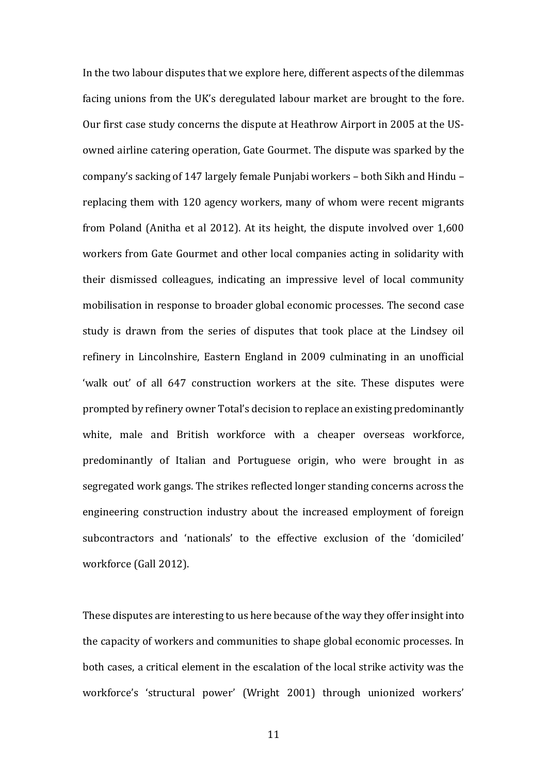In the two labour disputes that we explore here, different aspects of the dilemmas facing unions from the UK's deregulated labour market are brought to the fore. Our first case study concerns the dispute at Heathrow Airport in 2005 at the USowned airline catering operation, Gate Gourmet. The dispute was sparked by the companyǯs sacking of 147 largely female Punjabi workers – both Sikh and Hindu – replacing them with 120 agency workers, many of whom were recent migrants from Poland (Anitha et al 2012). At its height, the dispute involved over 1,600 workers from Gate Gourmet and other local companies acting in solidarity with their dismissed colleagues, indicating an impressive level of local community mobilisation in response to broader global economic processes. The second case study is drawn from the series of disputes that took place at the Lindsey oil refinery in Lincolnshire, Eastern England in 2009 culminating in an unofficial 'walk out' of all 647 construction workers at the site. These disputes were prompted by refinery owner Total's decision to replace an existing predominantly white, male and British workforce with a cheaper overseas workforce, predominantly of Italian and Portuguese origin, who were brought in as segregated work gangs. The strikes reflected longer standing concerns across the engineering construction industry about the increased employment of foreign subcontractors and 'nationals' to the effective exclusion of the 'domiciled' workforce (Gall 2012).

These disputes are interesting to us here because of the way they offer insight into the capacity of workers and communities to shape global economic processes. In both cases, a critical element in the escalation of the local strike activity was the workforce's 'structural power' (Wright 2001) through unionized workers'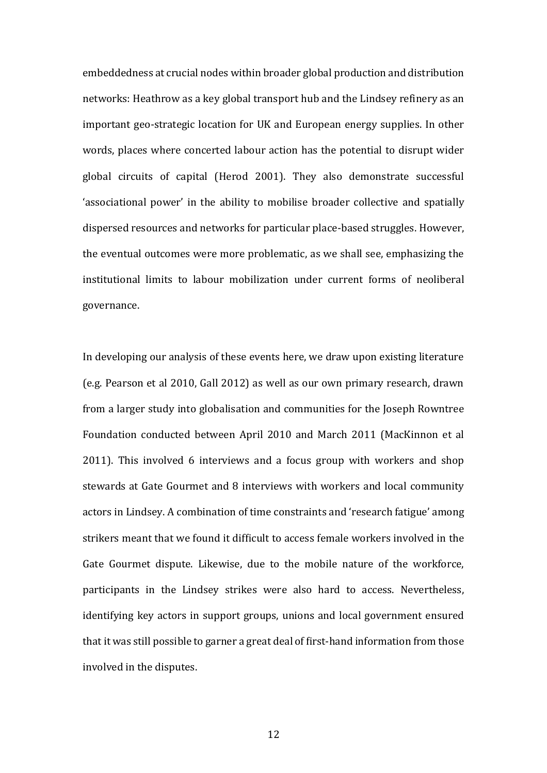embeddedness at crucial nodes within broader global production and distribution networks: Heathrow as a key global transport hub and the Lindsey refinery as an important geo-strategic location for UK and European energy supplies. In other words, places where concerted labour action has the potential to disrupt wider global circuits of capital (Herod 2001). They also demonstrate successful 'associational power' in the ability to mobilise broader collective and spatially dispersed resources and networks for particular place-based struggles. However, the eventual outcomes were more problematic, as we shall see, emphasizing the institutional limits to labour mobilization under current forms of neoliberal governance.

In developing our analysis of these events here, we draw upon existing literature (e.g. Pearson et al 2010, Gall 2012) as well as our own primary research, drawn from a larger study into globalisation and communities for the Joseph Rowntree Foundation conducted between April 2010 and March 2011 (MacKinnon et al 2011). This involved 6 interviews and a focus group with workers and shop stewards at Gate Gourmet and 8 interviews with workers and local community actors in Lindsey. A combination of time constraints and 'research fatigue' among strikers meant that we found it difficult to access female workers involved in the Gate Gourmet dispute. Likewise, due to the mobile nature of the workforce, participants in the Lindsey strikes were also hard to access. Nevertheless, identifying key actors in support groups, unions and local government ensured that it was still possible to garner a great deal of first-hand information from those involved in the disputes.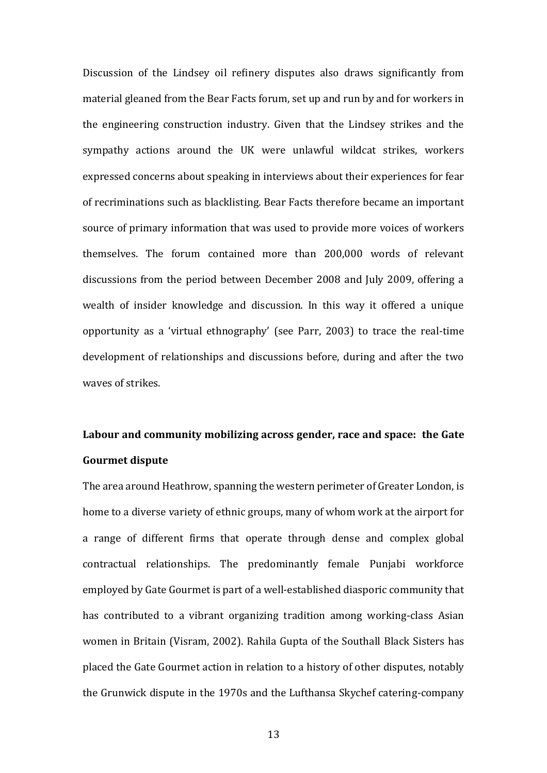Discussion of the Lindsey oil refinery disputes also draws significantly from material gleaned from the Bear Facts forum, set up and run by and for workers in the engineering construction industry. Given that the Lindsey strikes and the sympathy actions around the UK were unlawful wildcat strikes, workers expressed concerns about speaking in interviews about their experiences for fear of recriminations such as blacklisting. Bear Facts therefore became an important source of primary information that was used to provide more voices of workers themselves. The forum contained more than 200,000 words of relevant discussions from the period between December 2008 and July 2009, offering a wealth of insider knowledge and discussion. In this way it offered a unique opportunity as a 'virtual ethnography' (see Parr, 2003) to trace the real-time development of relationships and discussions before, during and after the two waves of strikes.

# **Labour and community mobilizing across gender, race and space: the Gate Gourmet dispute**

The area around Heathrow, spanning the western perimeter of Greater London, is home to a diverse variety of ethnic groups, many of whom work at the airport for a range of different firms that operate through dense and complex global contractual relationships. The predominantly female Punjabi workforce employed by Gate Gourmet is part of a well-established diasporic community that has contributed to a vibrant organizing tradition among working-class Asian women in Britain (Visram, 2002). Rahila Gupta of the Southall Black Sisters has placed the Gate Gourmet action in relation to a history of other disputes, notably the Grunwick dispute in the 1970s and the Lufthansa Skychef catering-company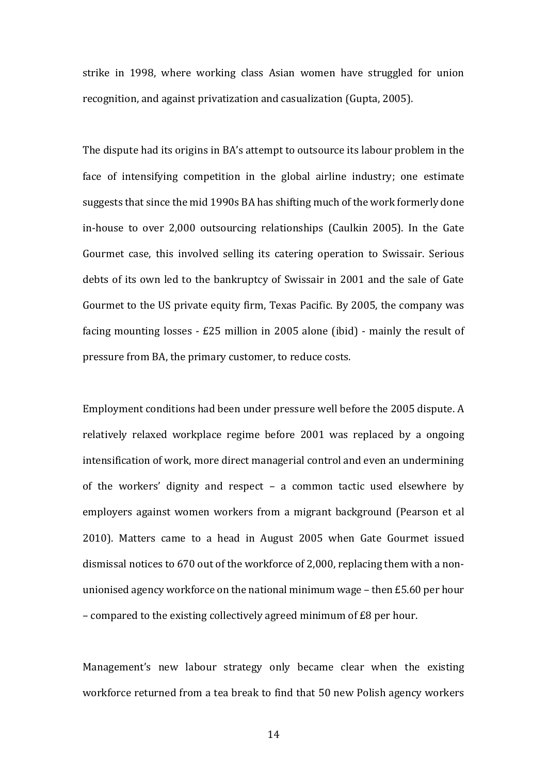strike in 1998, where working class Asian women have struggled for union recognition, and against privatization and casualization (Gupta, 2005).

The dispute had its origins in BA's attempt to outsource its labour problem in the face of intensifying competition in the global airline industry; one estimate suggests that since the mid 1990s BA has shifting much of the work formerly done in-house to over 2,000 outsourcing relationships (Caulkin 2005). In the Gate Gourmet case, this involved selling its catering operation to Swissair. Serious debts of its own led to the bankruptcy of Swissair in 2001 and the sale of Gate Gourmet to the US private equity firm, Texas Pacific. By 2005, the company was facing mounting losses - £25 million in 2005 alone (ibid) - mainly the result of pressure from BA, the primary customer, to reduce costs.

Employment conditions had been under pressure well before the 2005 dispute. A relatively relaxed workplace regime before 2001 was replaced by a ongoing intensification of work, more direct managerial control and even an undermining of the workers' dignity and respect – a common tactic used elsewhere by employers against women workers from a migrant background (Pearson et al 2010). Matters came to a head in August 2005 when Gate Gourmet issued dismissal notices to 670 out of the workforce of 2,000, replacing them with a nonunionised agency workforce on the national minimum wage – then £5.60 per hour – compared to the existing collectively agreed minimum of £8 per hour.

Management's new labour strategy only became clear when the existing workforce returned from a tea break to find that 50 new Polish agency workers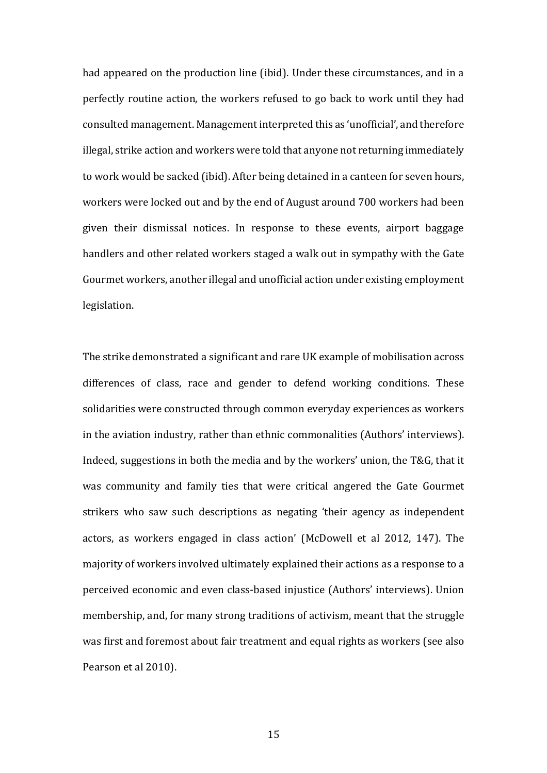had appeared on the production line (ibid). Under these circumstances, and in a perfectly routine action, the workers refused to go back to work until they had consulted management. Management interpreted this as 'unofficial', and therefore illegal, strike action and workers were told that anyone not returning immediately to work would be sacked (ibid). After being detained in a canteen for seven hours, workers were locked out and by the end of August around 700 workers had been given their dismissal notices. In response to these events, airport baggage handlers and other related workers staged a walk out in sympathy with the Gate Gourmet workers, another illegal and unofficial action under existing employment legislation.

The strike demonstrated a significant and rare UK example of mobilisation across differences of class, race and gender to defend working conditions. These solidarities were constructed through common everyday experiences as workers in the aviation industry, rather than ethnic commonalities (Authors' interviews). Indeed, suggestions in both the media and by the workers' union, the T&G, that it was community and family ties that were critical angered the Gate Gourmet strikers who saw such descriptions as negating 'their agency as independent actors, as workers engaged in class action' (McDowell et al 2012, 147). The majority of workers involved ultimately explained their actions as a response to a perceived economic and even class-based injustice (Authors' interviews). Union membership, and, for many strong traditions of activism, meant that the struggle was first and foremost about fair treatment and equal rights as workers (see also Pearson et al 2010).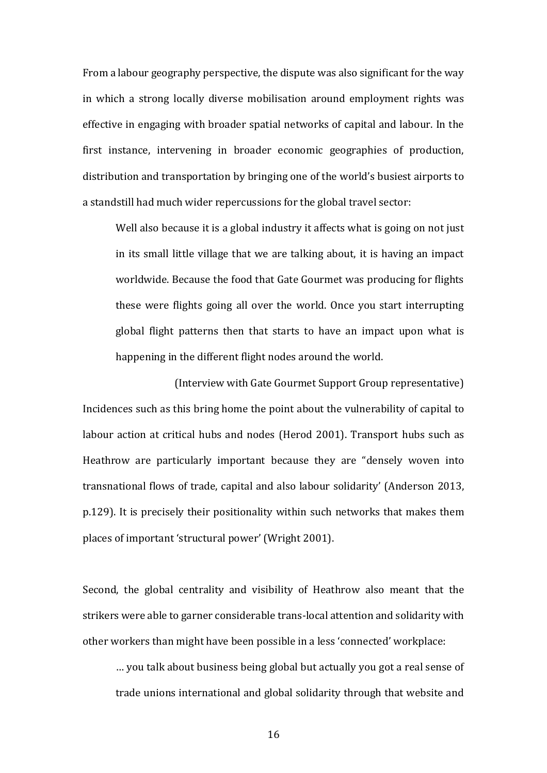From a labour geography perspective, the dispute was also significant for the way in which a strong locally diverse mobilisation around employment rights was effective in engaging with broader spatial networks of capital and labour. In the first instance, intervening in broader economic geographies of production, distribution and transportation by bringing one of the world's busiest airports to a standstill had much wider repercussions for the global travel sector:

Well also because it is a global industry it affects what is going on not just in its small little village that we are talking about, it is having an impact worldwide. Because the food that Gate Gourmet was producing for flights these were flights going all over the world. Once you start interrupting global flight patterns then that starts to have an impact upon what is happening in the different flight nodes around the world.

(Interview with Gate Gourmet Support Group representative) Incidences such as this bring home the point about the vulnerability of capital to labour action at critical hubs and nodes (Herod 2001). Transport hubs such as Heathrow are particularly important because they are "densely woven into transnational flows of trade, capital and also labour solidarity' (Anderson 2013, p.129). It is precisely their positionality within such networks that makes them places of important 'structural power' (Wright 2001).

Second, the global centrality and visibility of Heathrow also meant that the strikers were able to garner considerable trans-local attention and solidarity with other workers than might have been possible in a less 'connected' workplace:

… you talk about business being global but actually you got a real sense of trade unions international and global solidarity through that website and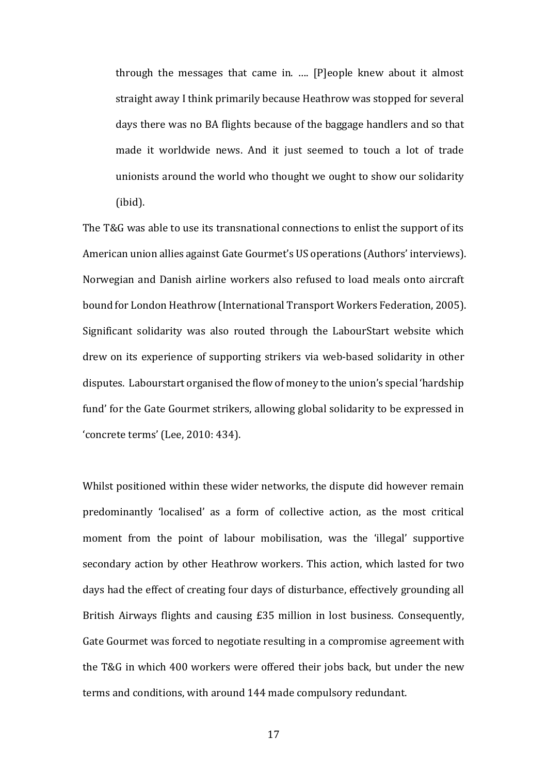through the messages that came in. …. [P]eople knew about it almost straight away I think primarily because Heathrow was stopped for several days there was no BA flights because of the baggage handlers and so that made it worldwide news. And it just seemed to touch a lot of trade unionists around the world who thought we ought to show our solidarity (ibid).

The T&G was able to use its transnational connections to enlist the support of its American union allies against Gate Gourmet's US operations (Authors' interviews). Norwegian and Danish airline workers also refused to load meals onto aircraft bound for London Heathrow (International Transport Workers Federation, 2005). Significant solidarity was also routed through the LabourStart website which drew on its experience of supporting strikers via web-based solidarity in other disputes. Labourstart organised the flow of money to the union's special 'hardship fund' for the Gate Gourmet strikers, allowing global solidarity to be expressed in Ǯconcrete termsǯ (Lee, 2010: 434).

Whilst positioned within these wider networks, the dispute did however remain predominantly 'localised' as a form of collective action, as the most critical moment from the point of labour mobilisation, was the 'illegal' supportive secondary action by other Heathrow workers. This action, which lasted for two days had the effect of creating four days of disturbance, effectively grounding all British Airways flights and causing £35 million in lost business. Consequently, Gate Gourmet was forced to negotiate resulting in a compromise agreement with the T&G in which 400 workers were offered their jobs back, but under the new terms and conditions, with around 144 made compulsory redundant.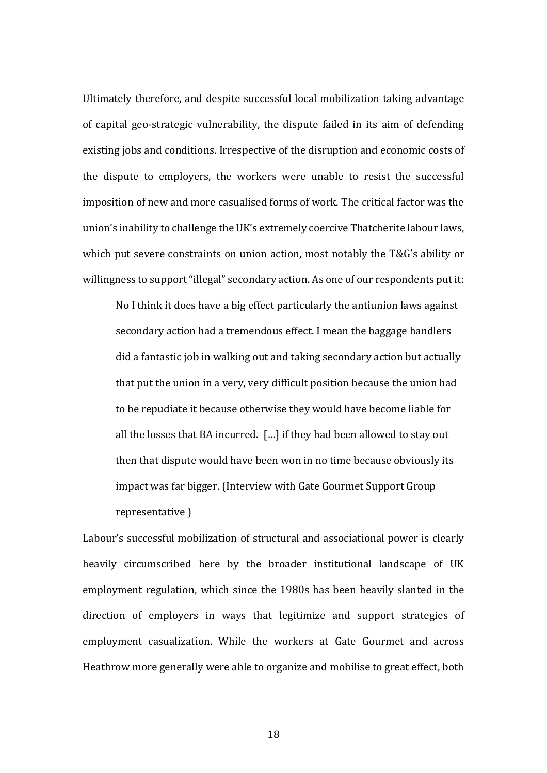Ultimately therefore, and despite successful local mobilization taking advantage of capital geo-strategic vulnerability, the dispute failed in its aim of defending existing jobs and conditions. Irrespective of the disruption and economic costs of the dispute to employers, the workers were unable to resist the successful imposition of new and more casualised forms of work. The critical factor was the union's inability to challenge the UK's extremely coercive Thatcherite labour laws, which put severe constraints on union action, most notably the T&G's ability or willingness to support "illegal" secondary action. As one of our respondents put it:

No I think it does have a big effect particularly the antiunion laws against secondary action had a tremendous effect. I mean the baggage handlers did a fantastic job in walking out and taking secondary action but actually that put the union in a very, very difficult position because the union had to be repudiate it because otherwise they would have become liable for all the losses that BA incurred. […] if they had been allowed to stay out then that dispute would have been won in no time because obviously its impact was far bigger. (Interview with Gate Gourmet Support Group representative )

Labour's successful mobilization of structural and associational power is clearly heavily circumscribed here by the broader institutional landscape of UK employment regulation, which since the 1980s has been heavily slanted in the direction of employers in ways that legitimize and support strategies of employment casualization. While the workers at Gate Gourmet and across Heathrow more generally were able to organize and mobilise to great effect, both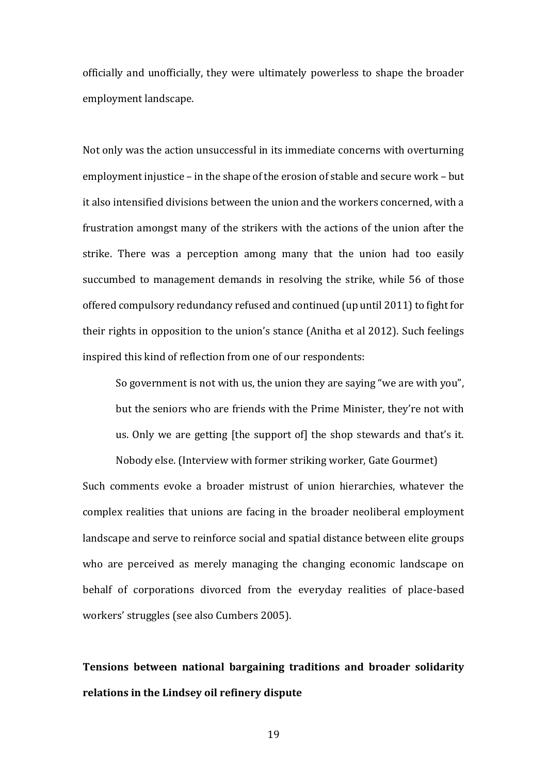officially and unofficially, they were ultimately powerless to shape the broader employment landscape.

Not only was the action unsuccessful in its immediate concerns with overturning employment injustice – in the shape of the erosion of stable and secure work – but it also intensified divisions between the union and the workers concerned, with a frustration amongst many of the strikers with the actions of the union after the strike. There was a perception among many that the union had too easily succumbed to management demands in resolving the strike, while 56 of those offered compulsory redundancy refused and continued (up until 2011) to fight for their rights in opposition to the union's stance (Anitha et al 2012). Such feelings inspired this kind of reflection from one of our respondents:

So government is not with us, the union they are saying "we are with you", but the seniors who are friends with the Prime Minister, they're not with us. Only we are getting [the support of] the shop stewards and that's it.

Nobody else. (Interview with former striking worker, Gate Gourmet) Such comments evoke a broader mistrust of union hierarchies, whatever the complex realities that unions are facing in the broader neoliberal employment landscape and serve to reinforce social and spatial distance between elite groups who are perceived as merely managing the changing economic landscape on behalf of corporations divorced from the everyday realities of place-based workers' struggles (see also Cumbers 2005).

**Tensions between national bargaining traditions and broader solidarity relations in the Lindsey oil refinery dispute**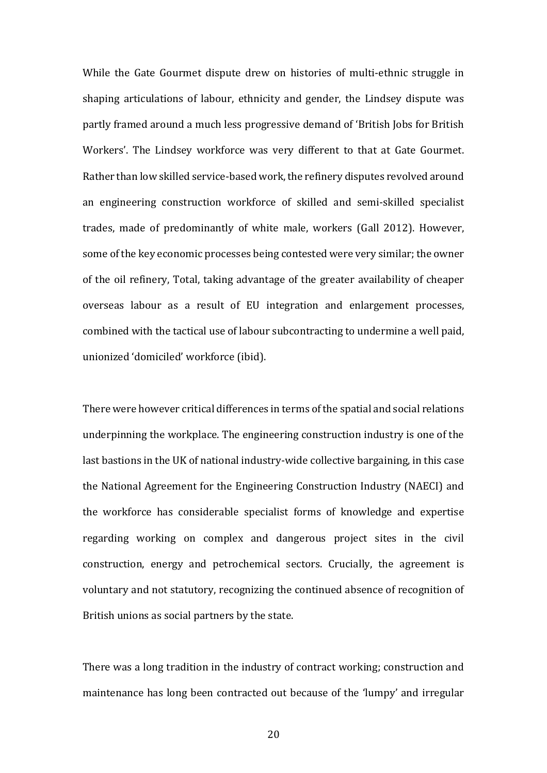While the Gate Gourmet dispute drew on histories of multi-ethnic struggle in shaping articulations of labour, ethnicity and gender, the Lindsey dispute was partly framed around a much less progressive demand of 'British Jobs for British Workers'. The Lindsey workforce was very different to that at Gate Gourmet. Rather than low skilled service-based work, the refinery disputes revolved around an engineering construction workforce of skilled and semi-skilled specialist trades, made of predominantly of white male, workers (Gall 2012). However, some of the key economic processes being contested were very similar; the owner of the oil refinery, Total, taking advantage of the greater availability of cheaper overseas labour as a result of EU integration and enlargement processes, combined with the tactical use of labour subcontracting to undermine a well paid, unionized 'domiciled' workforce (ibid).

There were however critical differences in terms of the spatial and social relations underpinning the workplace. The engineering construction industry is one of the last bastions in the UK of national industry-wide collective bargaining, in this case the National Agreement for the Engineering Construction Industry (NAECI) and the workforce has considerable specialist forms of knowledge and expertise regarding working on complex and dangerous project sites in the civil construction, energy and petrochemical sectors. Crucially, the agreement is voluntary and not statutory, recognizing the continued absence of recognition of British unions as social partners by the state.

There was a long tradition in the industry of contract working; construction and maintenance has long been contracted out because of the 'lumpy' and irregular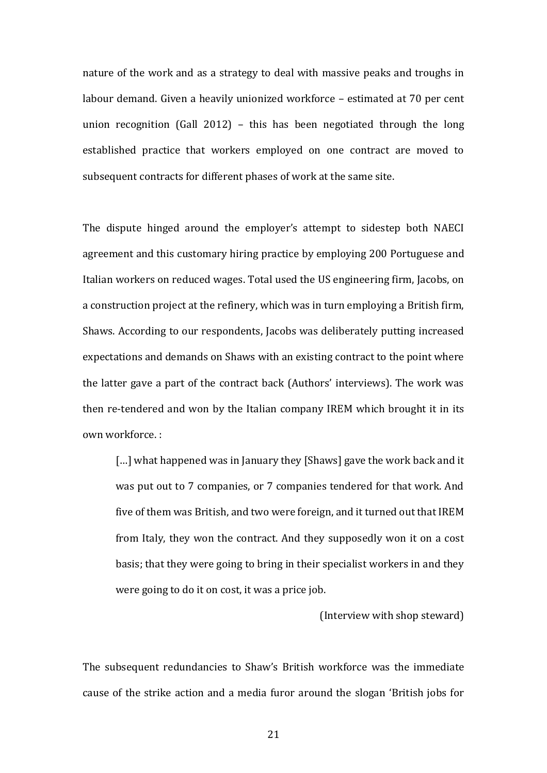nature of the work and as a strategy to deal with massive peaks and troughs in labour demand. Given a heavily unionized workforce – estimated at 70 per cent union recognition (Gall 2012) – this has been negotiated through the long established practice that workers employed on one contract are moved to subsequent contracts for different phases of work at the same site.

The dispute hinged around the employer's attempt to sidestep both NAECI agreement and this customary hiring practice by employing 200 Portuguese and Italian workers on reduced wages. Total used the US engineering firm, Jacobs, on a construction project at the refinery, which was in turn employing a British firm, Shaws. According to our respondents, Jacobs was deliberately putting increased expectations and demands on Shaws with an existing contract to the point where the latter gave a part of the contract back (Authors' interviews). The work was then re-tendered and won by the Italian company IREM which brought it in its own workforce. :

[...] what happened was in January they [Shaws] gave the work back and it was put out to 7 companies, or 7 companies tendered for that work. And five of them was British, and two were foreign, and it turned out that IREM from Italy, they won the contract. And they supposedly won it on a cost basis; that they were going to bring in their specialist workers in and they were going to do it on cost, it was a price job.

(Interview with shop steward)

The subsequent redundancies to Shaw's British workforce was the immediate cause of the strike action and a media furor around the slogan 'British jobs for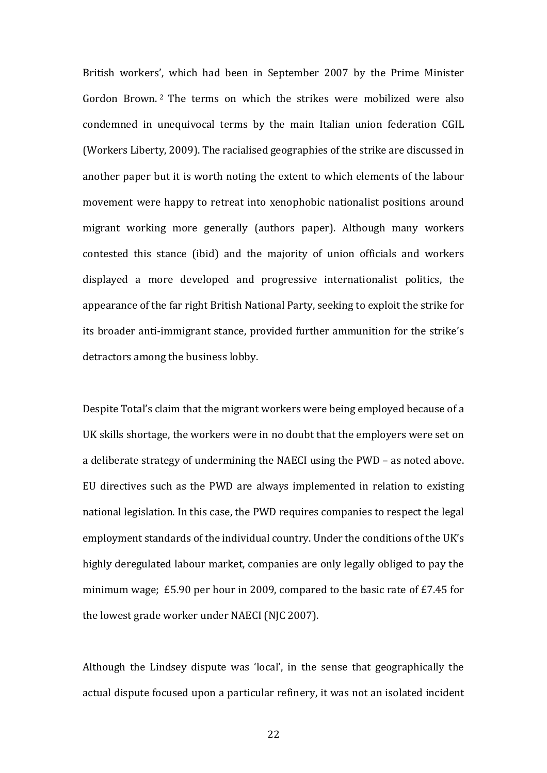British workers', which had been in September 2007 by the Prime Minister Gordon Brown. <sup>2</sup> The terms on which the strikes were mobilized were also condemned in unequivocal terms by the main Italian union federation CGIL (Workers Liberty, 2009). The racialised geographies of the strike are discussed in another paper but it is worth noting the extent to which elements of the labour movement were happy to retreat into xenophobic nationalist positions around migrant working more generally (authors paper). Although many workers contested this stance (ibid) and the majority of union officials and workers displayed a more developed and progressive internationalist politics, the appearance of the far right British National Party, seeking to exploit the strike for its broader anti-immigrant stance, provided further ammunition for the strike's detractors among the business lobby.

Despite Total's claim that the migrant workers were being employed because of a UK skills shortage, the workers were in no doubt that the employers were set on a deliberate strategy of undermining the NAECI using the PWD – as noted above. EU directives such as the PWD are always implemented in relation to existing national legislation. In this case, the PWD requires companies to respect the legal employment standards of the individual country. Under the conditions of the UK's highly deregulated labour market, companies are only legally obliged to pay the minimum wage; £5.90 per hour in 2009, compared to the basic rate of £7.45 for the lowest grade worker under NAECI (NJC 2007).

Although the Lindsey dispute was 'local', in the sense that geographically the actual dispute focused upon a particular refinery, it was not an isolated incident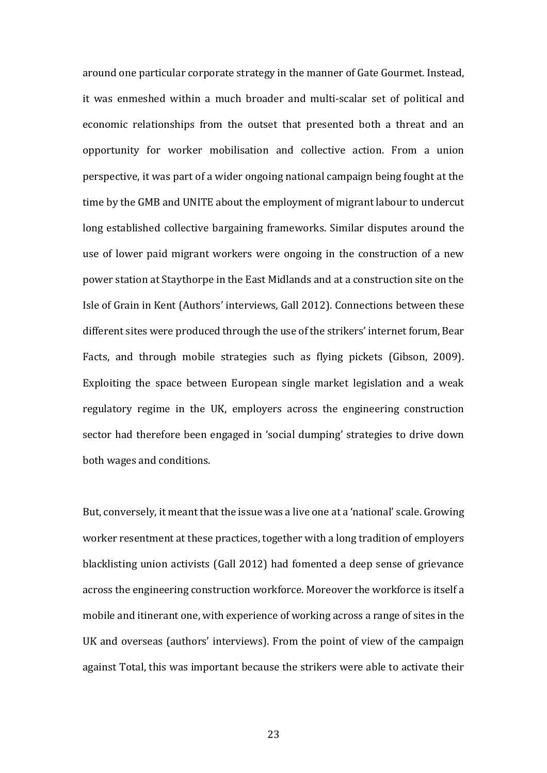around one particular corporate strategy in the manner of Gate Gourmet. Instead, it was enmeshed within a much broader and multi-scalar set of political and economic relationships from the outset that presented both a threat and an opportunity for worker mobilisation and collective action. From a union perspective, it was part of a wider ongoing national campaign being fought at the time by the GMB and UNITE about the employment of migrant labour to undercut long established collective bargaining frameworks. Similar disputes around the use of lower paid migrant workers were ongoing in the construction of a new power station at Staythorpe in the East Midlands and at a construction site on the Isle of Grain in Kent (Authors' interviews, Gall 2012). Connections between these different sites were produced through the use of the strikers' internet forum, Bear Facts, and through mobile strategies such as flying pickets (Gibson, 2009). Exploiting the space between European single market legislation and a weak regulatory regime in the UK, employers across the engineering construction sector had therefore been engaged in 'social dumping' strategies to drive down both wages and conditions.

But, conversely, it meant that the issue was a live one at a 'national' scale. Growing worker resentment at these practices, together with a long tradition of employers blacklisting union activists (Gall 2012) had fomented a deep sense of grievance across the engineering construction workforce. Moreover the workforce is itself a mobile and itinerant one, with experience of working across a range of sites in the UK and overseas (authors' interviews). From the point of view of the campaign against Total, this was important because the strikers were able to activate their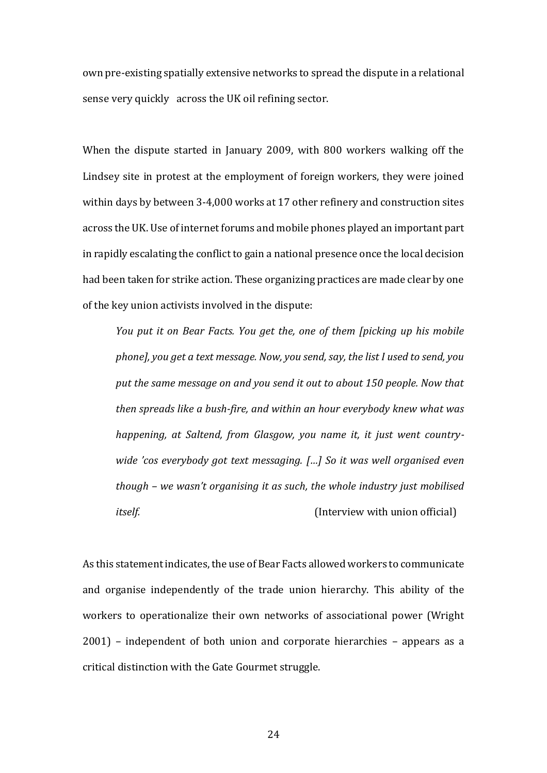own pre-existing spatially extensive networks to spread the dispute in a relational sense very quickly across the UK oil refining sector.

When the dispute started in January 2009, with 800 workers walking off the Lindsey site in protest at the employment of foreign workers, they were joined within days by between 3-4,000 works at 17 other refinery and construction sites across the UK. Use of internet forums and mobile phones played an important part in rapidly escalating the conflict to gain a national presence once the local decision had been taken for strike action. These organizing practices are made clear by one of the key union activists involved in the dispute:

*You put it on Bear Facts. You get the, one of them [picking up his mobile phone], you get a text message. Now, you send, say, the list I used to send, you put the same message on and you send it out to about 150 people. Now that then spreads like a bush-fire, and within an hour everybody knew what was happening, at Saltend, from Glasgow, you name it, it just went countrywide 'cos everybody got text messaging. […] So it was well organised even though – we wasn't organising it as such, the whole industry just mobilised itself.* (Interview with union official)

As this statement indicates, the use of Bear Facts allowed workers to communicate and organise independently of the trade union hierarchy. This ability of the workers to operationalize their own networks of associational power (Wright 2001) – independent of both union and corporate hierarchies – appears as a critical distinction with the Gate Gourmet struggle.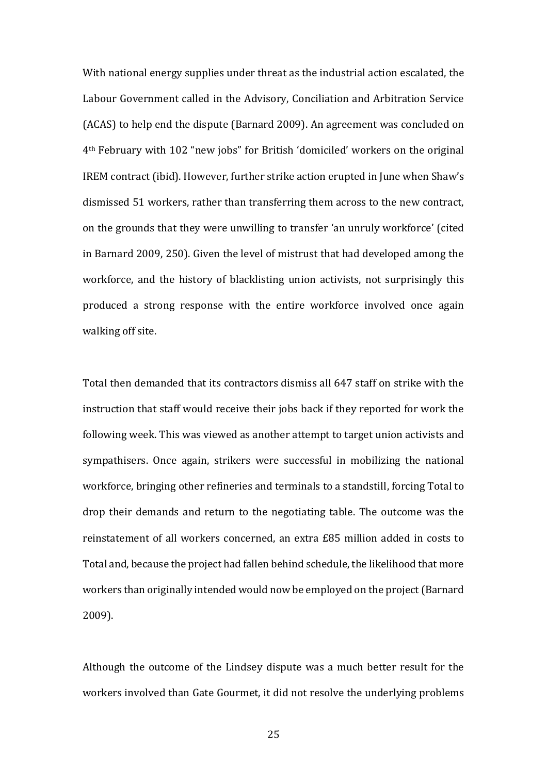With national energy supplies under threat as the industrial action escalated, the Labour Government called in the Advisory, Conciliation and Arbitration Service (ACAS) to help end the dispute (Barnard 2009). An agreement was concluded on 4<sup>th</sup> February with 102 "new jobs" for British 'domiciled' workers on the original IREM contract (ibid). However, further strike action erupted in June when Shaw's dismissed 51 workers, rather than transferring them across to the new contract, on the grounds that they were unwilling to transfer 'an unruly workforce' (cited in Barnard 2009, 250). Given the level of mistrust that had developed among the workforce, and the history of blacklisting union activists, not surprisingly this produced a strong response with the entire workforce involved once again walking off site.

Total then demanded that its contractors dismiss all 647 staff on strike with the instruction that staff would receive their jobs back if they reported for work the following week. This was viewed as another attempt to target union activists and sympathisers. Once again, strikers were successful in mobilizing the national workforce, bringing other refineries and terminals to a standstill, forcing Total to drop their demands and return to the negotiating table. The outcome was the reinstatement of all workers concerned, an extra £85 million added in costs to Total and, because the project had fallen behind schedule, the likelihood that more workers than originally intended would now be employed on the project (Barnard 2009).

Although the outcome of the Lindsey dispute was a much better result for the workers involved than Gate Gourmet, it did not resolve the underlying problems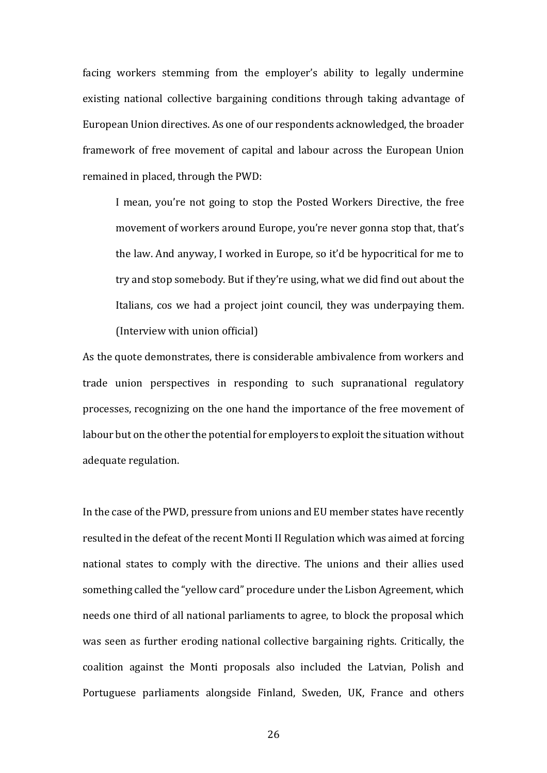facing workers stemming from the employer's ability to legally undermine existing national collective bargaining conditions through taking advantage of European Union directives. As one of our respondents acknowledged, the broader framework of free movement of capital and labour across the European Union remained in placed, through the PWD:

I mean, you're not going to stop the Posted Workers Directive, the free movement of workers around Europe, you're never gonna stop that, that's the law. And anyway, I worked in Europe, so it'd be hypocritical for me to try and stop somebody. But if they're using, what we did find out about the Italians, cos we had a project joint council, they was underpaying them. (Interview with union official)

As the quote demonstrates, there is considerable ambivalence from workers and trade union perspectives in responding to such supranational regulatory processes, recognizing on the one hand the importance of the free movement of labour but on the other the potential for employers to exploit the situation without adequate regulation.

In the case of the PWD, pressure from unions and EU member states have recently resulted in the defeat of the recent Monti II Regulation which was aimed at forcing national states to comply with the directive. The unions and their allies used something called the "yellow card" procedure under the Lisbon Agreement, which needs one third of all national parliaments to agree, to block the proposal which was seen as further eroding national collective bargaining rights. Critically, the coalition against the Monti proposals also included the Latvian, Polish and Portuguese parliaments alongside Finland, Sweden, UK, France and others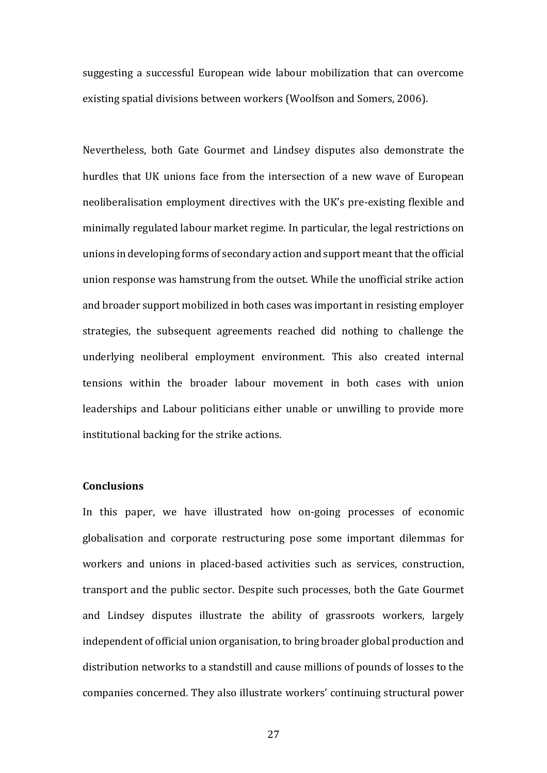suggesting a successful European wide labour mobilization that can overcome existing spatial divisions between workers (Woolfson and Somers, 2006).

Nevertheless, both Gate Gourmet and Lindsey disputes also demonstrate the hurdles that UK unions face from the intersection of a new wave of European neoliberalisation employment directives with the UK's pre-existing flexible and minimally regulated labour market regime. In particular, the legal restrictions on unions in developing forms of secondary action and support meant that the official union response was hamstrung from the outset. While the unofficial strike action and broader support mobilized in both cases was important in resisting employer strategies, the subsequent agreements reached did nothing to challenge the underlying neoliberal employment environment. This also created internal tensions within the broader labour movement in both cases with union leaderships and Labour politicians either unable or unwilling to provide more institutional backing for the strike actions.

### **Conclusions**

In this paper, we have illustrated how on-going processes of economic globalisation and corporate restructuring pose some important dilemmas for workers and unions in placed-based activities such as services, construction, transport and the public sector. Despite such processes, both the Gate Gourmet and Lindsey disputes illustrate the ability of grassroots workers, largely independent of official union organisation, to bring broader global production and distribution networks to a standstill and cause millions of pounds of losses to the companies concerned. They also illustrate workers' continuing structural power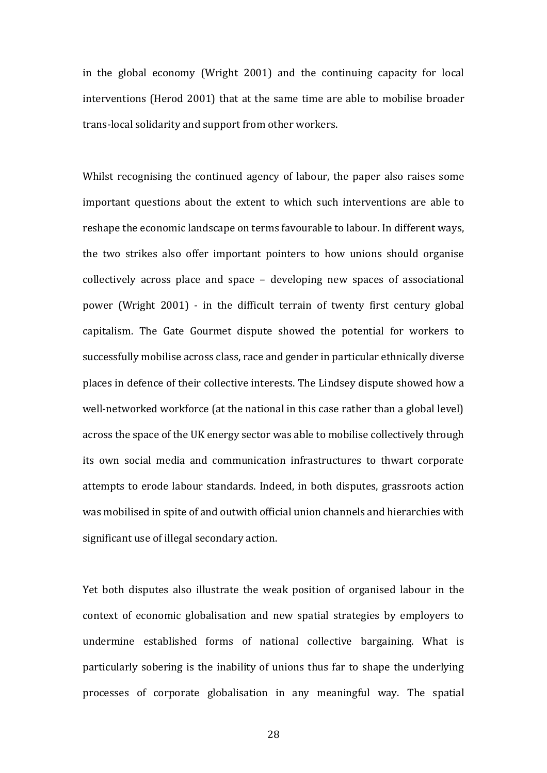in the global economy (Wright 2001) and the continuing capacity for local interventions (Herod 2001) that at the same time are able to mobilise broader trans-local solidarity and support from other workers.

Whilst recognising the continued agency of labour, the paper also raises some important questions about the extent to which such interventions are able to reshape the economic landscape on terms favourable to labour. In different ways, the two strikes also offer important pointers to how unions should organise collectively across place and space – developing new spaces of associational power (Wright 2001) - in the difficult terrain of twenty first century global capitalism. The Gate Gourmet dispute showed the potential for workers to successfully mobilise across class, race and gender in particular ethnically diverse places in defence of their collective interests. The Lindsey dispute showed how a well-networked workforce (at the national in this case rather than a global level) across the space of the UK energy sector was able to mobilise collectively through its own social media and communication infrastructures to thwart corporate attempts to erode labour standards. Indeed, in both disputes, grassroots action was mobilised in spite of and outwith official union channels and hierarchies with significant use of illegal secondary action.

Yet both disputes also illustrate the weak position of organised labour in the context of economic globalisation and new spatial strategies by employers to undermine established forms of national collective bargaining. What is particularly sobering is the inability of unions thus far to shape the underlying processes of corporate globalisation in any meaningful way. The spatial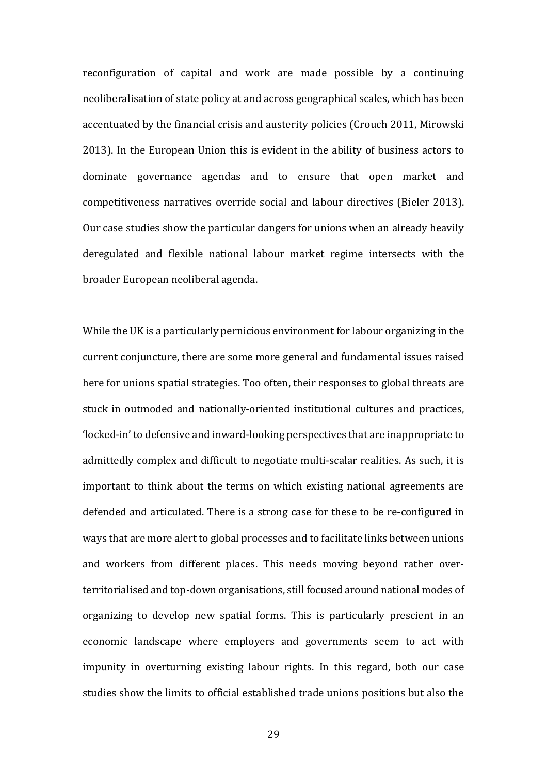reconfiguration of capital and work are made possible by a continuing neoliberalisation of state policy at and across geographical scales, which has been accentuated by the financial crisis and austerity policies (Crouch 2011, Mirowski 2013). In the European Union this is evident in the ability of business actors to dominate governance agendas and to ensure that open market and competitiveness narratives override social and labour directives (Bieler 2013). Our case studies show the particular dangers for unions when an already heavily deregulated and flexible national labour market regime intersects with the broader European neoliberal agenda.

While the UK is a particularly pernicious environment for labour organizing in the current conjuncture, there are some more general and fundamental issues raised here for unions spatial strategies. Too often, their responses to global threats are stuck in outmoded and nationally-oriented institutional cultures and practices, Ǯlocked-inǯ to defensive and inward-looking perspectives that are inappropriate to admittedly complex and difficult to negotiate multi-scalar realities. As such, it is important to think about the terms on which existing national agreements are defended and articulated. There is a strong case for these to be re-configured in ways that are more alert to global processes and to facilitate links between unions and workers from different places. This needs moving beyond rather overterritorialised and top-down organisations, still focused around national modes of organizing to develop new spatial forms. This is particularly prescient in an economic landscape where employers and governments seem to act with impunity in overturning existing labour rights. In this regard, both our case studies show the limits to official established trade unions positions but also the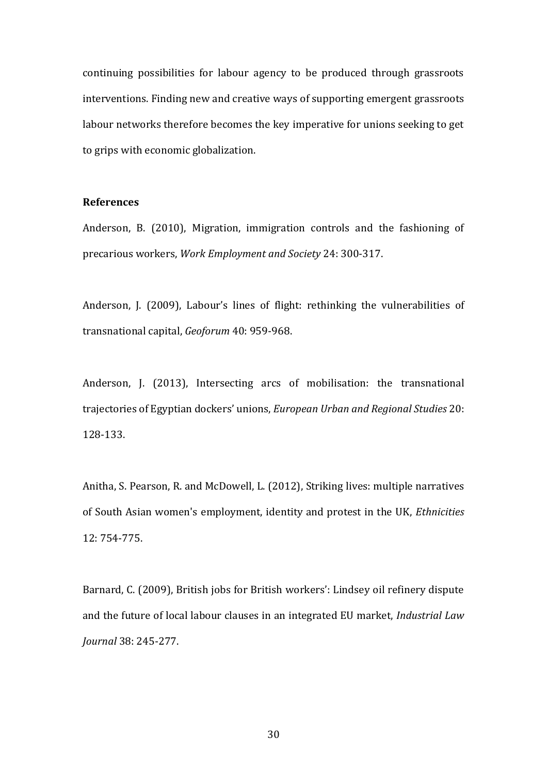continuing possibilities for labour agency to be produced through grassroots interventions. Finding new and creative ways of supporting emergent grassroots labour networks therefore becomes the key imperative for unions seeking to get to grips with economic globalization.

## **References**

Anderson, B. (2010), Migration, immigration controls and the fashioning of precarious workers, *Work Employment and Society* 24: 300-317.

Anderson, J. (2009), Labour's lines of flight: rethinking the vulnerabilities of transnational capital, *Geoforum* 40: 959-968.

Anderson, J. (2013), Intersecting arcs of mobilisation: the transnational trajectories of Egyptian dockers' unions, *European Urban and Regional Studies* 20: 128-133.

Anitha, S. Pearson, R. and McDowell, L. (2012), Striking lives: multiple narratives of South Asian women's employment, identity and protest in the UK, *Ethnicities* 12: 754-775.

Barnard, C. (2009), British jobs for British workers': Lindsey oil refinery dispute and the future of local labour clauses in an integrated EU market, *Industrial Law Journal* 38: 245-277.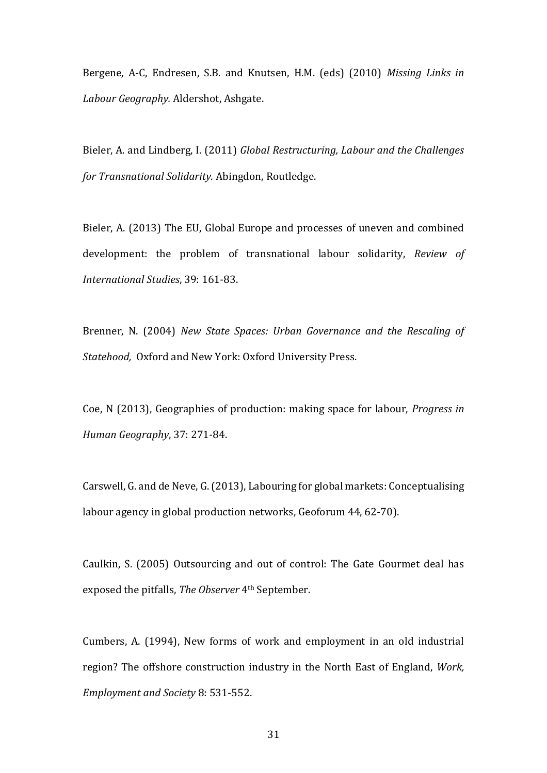Bergene, A-C, Endresen, S.B. and Knutsen, H.M. (eds) (2010) *Missing Links in Labour Geography.* Aldershot, Ashgate.

Bieler, A. and Lindberg, I. (2011) *Global Restructuring, Labour and the Challenges for Transnational Solidarity.* Abingdon, Routledge.

Bieler, A. (2013) The EU, Global Europe and processes of uneven and combined development: the problem of transnational labour solidarity, *Review of International Studies*, 39: 161-83.

Brenner, N. (2004) *New State Spaces: Urban Governance and the Rescaling of Statehood,* Oxford and New York: Oxford University Press.

Coe, N (2013), Geographies of production: making space for labour, *Progress in Human Geography*, 37: 271-84.

Carswell, G. and de Neve, G. (2013), Labouring for global markets: Conceptualising labour agency in global production networks, Geoforum 44, 62-70).

Caulkin, S. (2005) Outsourcing and out of control: The Gate Gourmet deal has exposed the pitfalls, *The Observer* 4th September.

Cumbers, A. (1994), New forms of work and employment in an old industrial region? The offshore construction industry in the North East of England, *Work, Employment and Society* 8: 531-552.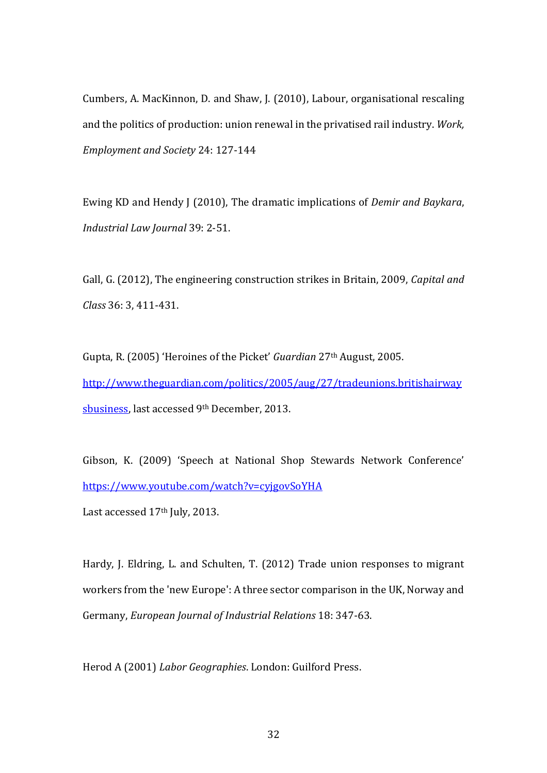Cumbers, A. MacKinnon, D. and Shaw, J. (2010), Labour, organisational rescaling and the politics of production: union renewal in the privatised rail industry. *Work, Employment and Society* 24: 127-144

Ewing KD and Hendy J (2010), The dramatic implications of *Demir and Baykara*, *Industrial Law Journal* 39: 2-51.

Gall, G. (2012), The engineering construction strikes in Britain, 2009, *Capital and Class* 36: 3, 411-431.

Gupta, R. (2005) 'Heroines of the Picket' *Guardian* 27<sup>th</sup> August, 2005. [http://www.theguardian.com/politics/2005/aug/27/tradeunions.britishairway](http://www.theguardian.com/politics/2005/aug/27/tradeunions.britishairwaysbusiness) [sbusiness,](http://www.theguardian.com/politics/2005/aug/27/tradeunions.britishairwaysbusiness) last accessed 9th December, 2013.

Gibson, K. (2009) 'Speech at National Shop Stewards Network Conference' <https://www.youtube.com/watch?v=cyjgovSoYHA>

Last accessed 17<sup>th</sup> July, 2013.

Hardy, J. Eldring, L. and Schulten, T. (2012) Trade union responses to migrant workers from the 'new Europe': A three sector comparison in the UK, Norway and Germany, *European Journal of Industrial Relations* 18: 347-63.

Herod A (2001) *Labor Geographies*. London: Guilford Press.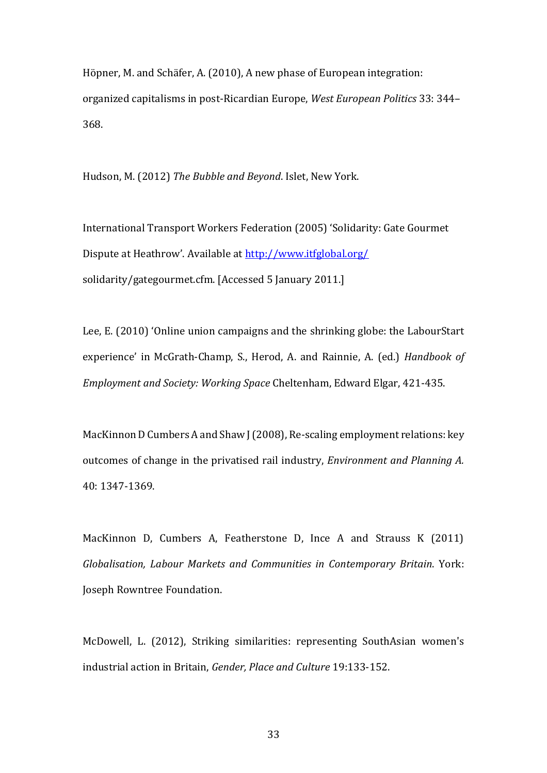Höpner, M. and Schäfer, A. (2010), A new phase of European integration: organized capitalisms in post-Ricardian Europe, *West European Politics* 33: 344– 368.

Hudson, M. (2012) *The Bubble and Beyond*. Islet, New York.

International Transport Workers Federation (2005) 'Solidarity: Gate Gourmet Dispute at Heathrow'. Available at <http://www.itfglobal.org/> solidarity/gategourmet.cfm. [Accessed 5 January 2011.]

Lee, E. (2010) 'Online union campaigns and the shrinking globe: the LabourStart experience' in McGrath-Champ, S., Herod, A. and Rainnie, A. (ed.) *Handbook of Employment and Society: Working Space* Cheltenham, Edward Elgar, 421-435.

MacKinnon D Cumbers A and Shaw J (2008), Re-scaling employment relations: key outcomes of change in the privatised rail industry, *Environment and Planning A.* 40: 1347-1369.

MacKinnon D, Cumbers A, Featherstone D, Ince A and Strauss K (2011) *Globalisation, Labour Markets and Communities in Contemporary Britain*. York: Joseph Rowntree Foundation.

McDowell, L. (2012), Striking similarities: representing SouthAsian women's industrial action in Britain, *Gender, Place and Culture* 19:133-152.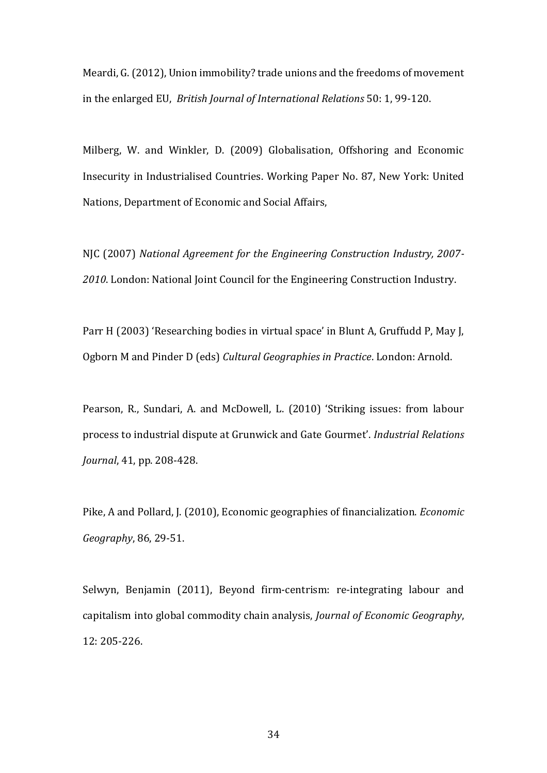Meardi, G. (2012), Union immobility? trade unions and the freedoms of movement in the enlarged EU, *British Journal of International Relations* 50: 1, 99-120.

Milberg, W. and Winkler, D. (2009) Globalisation, Offshoring and Economic Insecurity in Industrialised Countries. Working Paper No. 87, New York: United Nations, Department of Economic and Social Affairs,

NJC (2007) *National Agreement for the Engineering Construction Industry, 2007- 2010*. London: National Joint Council for the Engineering Construction Industry.

Parr H ( 2003) 'Researching bodies in virtual space' in Blunt A, Gruffudd P, May J, Ogborn M and Pinder D (eds) *Cultural Geographies in Practice*. London: Arnold.

Pearson, R., Sundari, A. and McDowell, L. (2010) 'Striking issues: from labour process to industrial dispute at Grunwick and Gate Gourmetǯ. *Industrial Relations Journal*, 41, pp. 208-428.

Pike, A and Pollard, J. (2010), Economic geographies of financialization. *Economic Geography*, 86, 29-51.

Selwyn, Benjamin (2011), Beyond firm-centrism: re-integrating labour and capitalism into global commodity chain analysis, *Journal of Economic Geography*, 12: 205-226.